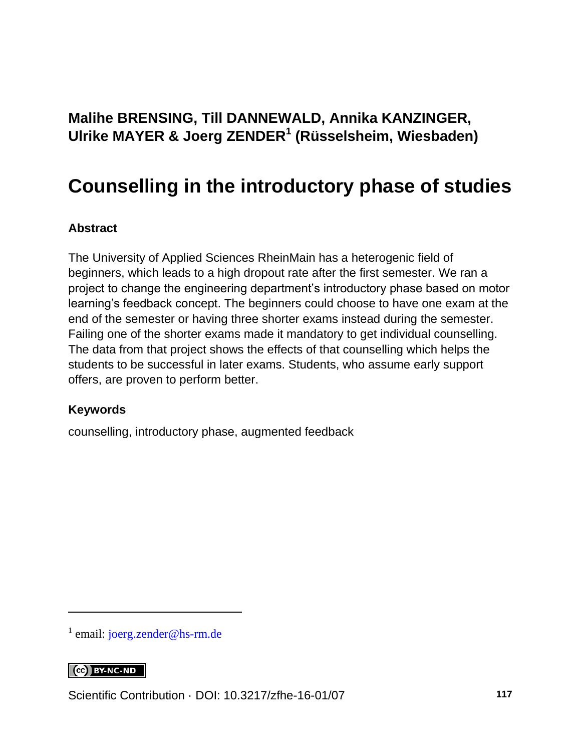#### **Malihe BRENSING, Till DANNEWALD, Annika KANZINGER, Ulrike MAYER & Joerg ZENDER<sup>1</sup> (Rüsselsheim, Wiesbaden)**

#### **Counselling in the introductory phase of studies**

#### **Abstract**

The University of Applied Sciences RheinMain has a heterogenic field of beginners, which leads to a high dropout rate after the first semester. We ran a project to change the engineering department's introductory phase based on motor learning's feedback concept. The beginners could choose to have one exam at the end of the semester or having three shorter exams instead during the semester. Failing one of the shorter exams made it mandatory to get individual counselling. The data from that project shows the effects of that counselling which helps the students to be successful in later exams. Students, who assume early support offers, are proven to perform better.

#### **Keywords**

counselling, introductory phase, augmented feedback

<sup>1</sup> email: [joerg.zender@hs-rm.de](mailto:joerg.zender@hs-rm.de)

#### $\left[$   $\left[$   $\right]$   $\left[$   $\right]$   $\left[$   $\right]$   $\left[$   $\right]$   $\left[$   $\left[$   $\right]$   $\left[$   $\right]$   $\left[$   $\left[$   $\right]$   $\left[$   $\right]$   $\left[$   $\right]$   $\left[$   $\left[$   $\right]$   $\left[$   $\right]$   $\left[$   $\left[$   $\right]$   $\left[$   $\right]$   $\left[$   $\left[$   $\right]$   $\left[$   $\right]$   $\left[$

l

Scientific Contribution · DOI: [10.3217/zfhe-16-01/07](https://doi.org/10.3217/zfhe-16-01/07) **117**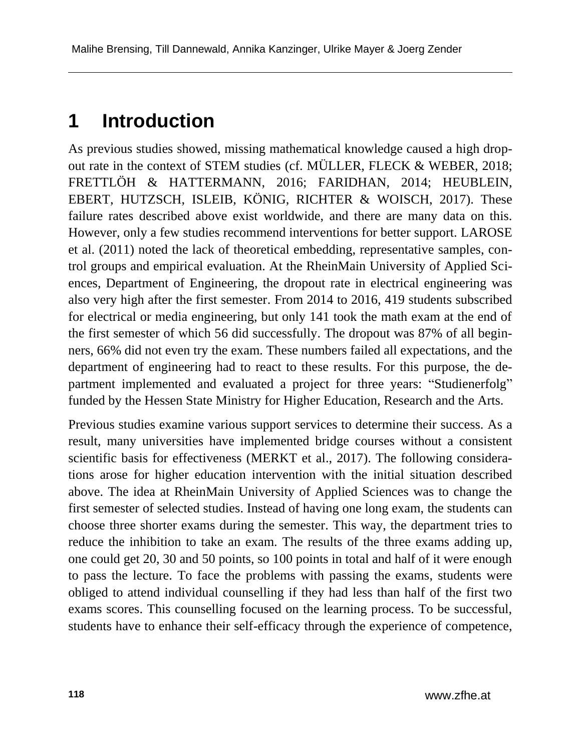#### **1 Introduction**

As previous studies showed, missing mathematical knowledge caused a high dropout rate in the context of STEM studies (cf. MÜLLER, FLECK & WEBER, 2018; FRETTLÖH & HATTERMANN, 2016; FARIDHAN, 2014; HEUBLEIN, EBERT, HUTZSCH, ISLEIB, KÖNIG, RICHTER & WOISCH, 2017). These failure rates described above exist worldwide, and there are many data on this. However, only a few studies recommend interventions for better support. LAROSE et al. (2011) noted the lack of theoretical embedding, representative samples, control groups and empirical evaluation. At the RheinMain University of Applied Sciences, Department of Engineering, the dropout rate in electrical engineering was also very high after the first semester. From 2014 to 2016, 419 students subscribed for electrical or media engineering, but only 141 took the math exam at the end of the first semester of which 56 did successfully. The dropout was 87% of all beginners, 66% did not even try the exam. These numbers failed all expectations, and the department of engineering had to react to these results. For this purpose, the department implemented and evaluated a project for three years: "Studienerfolg" funded by the Hessen State Ministry for Higher Education, Research and the Arts.

Previous studies examine various support services to determine their success. As a result, many universities have implemented bridge courses without a consistent scientific basis for effectiveness (MERKT et al., 2017). The following considerations arose for higher education intervention with the initial situation described above. The idea at RheinMain University of Applied Sciences was to change the first semester of selected studies. Instead of having one long exam, the students can choose three shorter exams during the semester. This way, the department tries to reduce the inhibition to take an exam. The results of the three exams adding up, one could get 20, 30 and 50 points, so 100 points in total and half of it were enough to pass the lecture. To face the problems with passing the exams, students were obliged to attend individual counselling if they had less than half of the first two exams scores. This counselling focused on the learning process. To be successful, students have to enhance their self-efficacy through the experience of competence,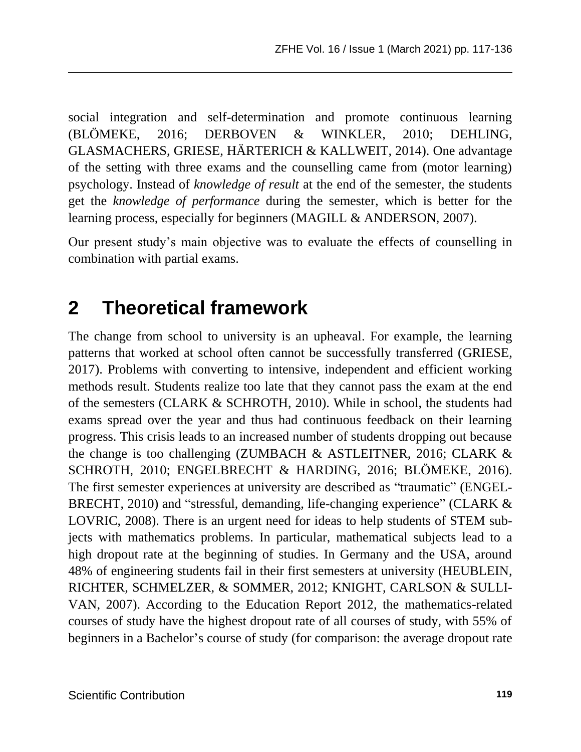social integration and self-determination and promote continuous learning (BLÖMEKE, 2016; DERBOVEN & WINKLER, 2010; DEHLING, GLASMACHERS, GRIESE, HÄRTERICH & KALLWEIT, 2014). One advantage of the setting with three exams and the counselling came from (motor learning) psychology. Instead of *knowledge of result* at the end of the semester, the students get the *knowledge of performance* during the semester, which is better for the learning process, especially for beginners (MAGILL & ANDERSON, 2007).

Our present study's main objective was to evaluate the effects of counselling in combination with partial exams.

#### **2 Theoretical framework**

The change from school to university is an upheaval. For example, the learning patterns that worked at school often cannot be successfully transferred (GRIESE, 2017). Problems with converting to intensive, independent and efficient working methods result. Students realize too late that they cannot pass the exam at the end of the semesters (CLARK & SCHROTH, 2010). While in school, the students had exams spread over the year and thus had continuous feedback on their learning progress. This crisis leads to an increased number of students dropping out because the change is too challenging (ZUMBACH & ASTLEITNER, 2016; CLARK & SCHROTH, 2010; ENGELBRECHT & HARDING, 2016; BLÖMEKE, 2016). The first semester experiences at university are described as "traumatic" (ENGEL-BRECHT, 2010) and "stressful, demanding, life-changing experience" (CLARK & LOVRIC, 2008). There is an urgent need for ideas to help students of STEM subjects with mathematics problems. In particular, mathematical subjects lead to a high dropout rate at the beginning of studies. In Germany and the USA, around 48% of engineering students fail in their first semesters at university (HEUBLEIN, RICHTER, SCHMELZER, & SOMMER, 2012; KNIGHT, CARLSON & SULLI-VAN, 2007). According to the Education Report 2012, the mathematics-related courses of study have the highest dropout rate of all courses of study, with 55% of beginners in a Bachelor's course of study (for comparison: the average dropout rate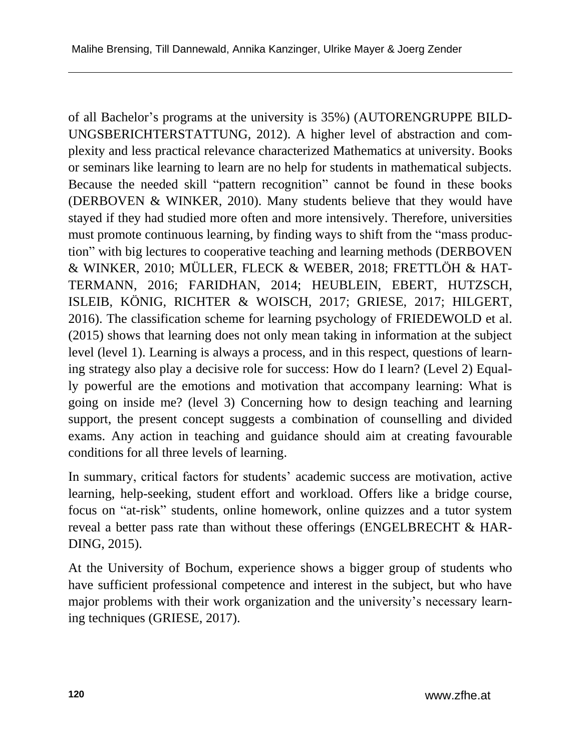of all Bachelor's programs at the university is 35%) (AUTORENGRUPPE BILD-UNGSBERICHTERSTATTUNG, 2012). A higher level of abstraction and complexity and less practical relevance characterized Mathematics at university. Books or seminars like learning to learn are no help for students in mathematical subjects. Because the needed skill "pattern recognition" cannot be found in these books (DERBOVEN & WINKER, 2010). Many students believe that they would have stayed if they had studied more often and more intensively. Therefore, universities must promote continuous learning, by finding ways to shift from the "mass production" with big lectures to cooperative teaching and learning methods (DERBOVEN & WINKER, 2010; MÜLLER, FLECK & WEBER, 2018; FRETTLÖH & HAT-TERMANN, 2016; FARIDHAN, 2014; HEUBLEIN, EBERT, HUTZSCH, ISLEIB, KÖNIG, RICHTER & WOISCH, 2017; GRIESE, 2017; HILGERT, 2016). The classification scheme for learning psychology of FRIEDEWOLD et al. (2015) shows that learning does not only mean taking in information at the subject level (level 1). Learning is always a process, and in this respect, questions of learning strategy also play a decisive role for success: How do I learn? (Level 2) Equally powerful are the emotions and motivation that accompany learning: What is going on inside me? (level 3) Concerning how to design teaching and learning support, the present concept suggests a combination of counselling and divided exams. Any action in teaching and guidance should aim at creating favourable conditions for all three levels of learning.

In summary, critical factors for students' academic success are motivation, active learning, help-seeking, student effort and workload. Offers like a bridge course, focus on "at-risk" students, online homework, online quizzes and a tutor system reveal a better pass rate than without these offerings (ENGELBRECHT & HAR-DING, 2015).

At the University of Bochum, experience shows a bigger group of students who have sufficient professional competence and interest in the subject, but who have major problems with their work organization and the university's necessary learning techniques (GRIESE, 2017).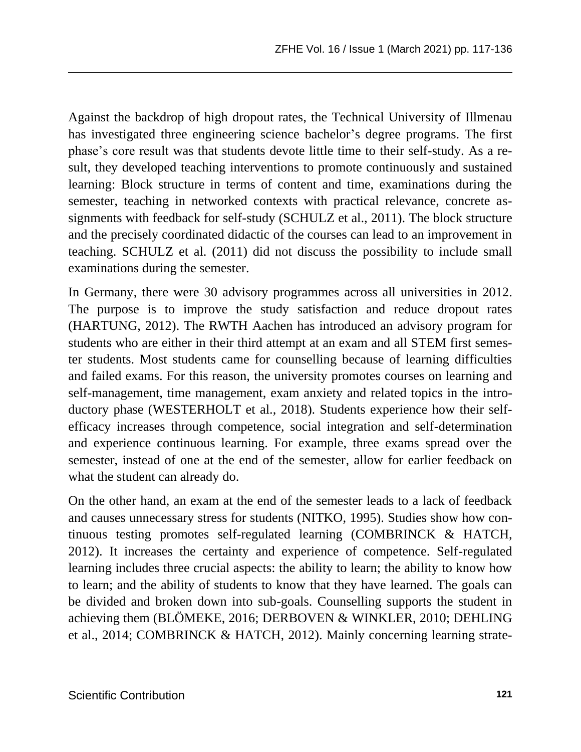Against the backdrop of high dropout rates, the Technical University of Illmenau has investigated three engineering science bachelor's degree programs. The first phase's core result was that students devote little time to their self-study. As a result, they developed teaching interventions to promote continuously and sustained learning: Block structure in terms of content and time, examinations during the semester, teaching in networked contexts with practical relevance, concrete assignments with feedback for self-study (SCHULZ et al., 2011). The block structure and the precisely coordinated didactic of the courses can lead to an improvement in teaching. SCHULZ et al. (2011) did not discuss the possibility to include small examinations during the semester.

In Germany, there were 30 advisory programmes across all universities in 2012. The purpose is to improve the study satisfaction and reduce dropout rates (HARTUNG, 2012). The RWTH Aachen has introduced an advisory program for students who are either in their third attempt at an exam and all STEM first semester students. Most students came for counselling because of learning difficulties and failed exams. For this reason, the university promotes courses on learning and self-management, time management, exam anxiety and related topics in the introductory phase (WESTERHOLT et al., 2018). Students experience how their selfefficacy increases through competence, social integration and self-determination and experience continuous learning. For example, three exams spread over the semester, instead of one at the end of the semester, allow for earlier feedback on what the student can already do.

On the other hand, an exam at the end of the semester leads to a lack of feedback and causes unnecessary stress for students (NITKO, 1995). Studies show how continuous testing promotes self-regulated learning (COMBRINCK & HATCH, 2012). It increases the certainty and experience of competence. Self-regulated learning includes three crucial aspects: the ability to learn; the ability to know how to learn; and the ability of students to know that they have learned. The goals can be divided and broken down into sub-goals. Counselling supports the student in achieving them (BLÖMEKE, 2016; DERBOVEN & WINKLER, 2010; DEHLING et al., 2014; COMBRINCK & HATCH, 2012). Mainly concerning learning strate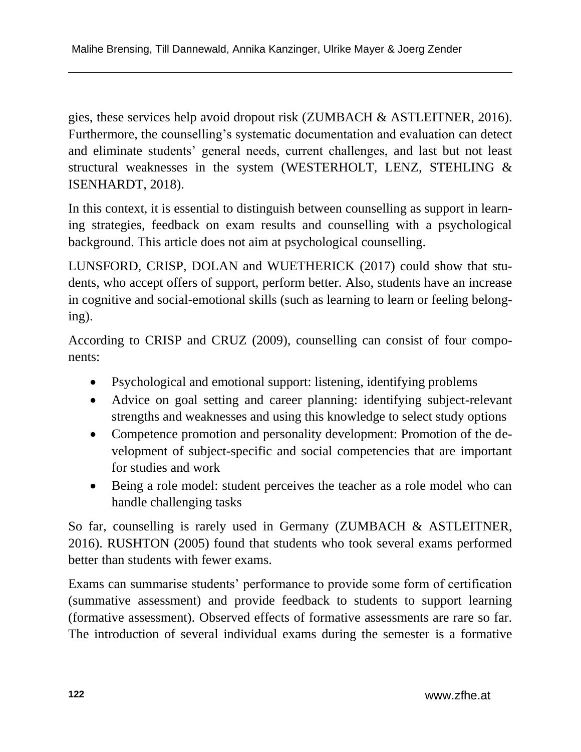gies, these services help avoid dropout risk (ZUMBACH & ASTLEITNER, 2016). Furthermore, the counselling's systematic documentation and evaluation can detect and eliminate students' general needs, current challenges, and last but not least structural weaknesses in the system (WESTERHOLT, LENZ, STEHLING & ISENHARDT, 2018).

In this context, it is essential to distinguish between counselling as support in learning strategies, feedback on exam results and counselling with a psychological background. This article does not aim at psychological counselling.

LUNSFORD, CRISP, DOLAN and WUETHERICK (2017) could show that students, who accept offers of support, perform better. Also, students have an increase in cognitive and social-emotional skills (such as learning to learn or feeling belonging).

According to CRISP and CRUZ (2009), counselling can consist of four components:

- Psychological and emotional support: listening, identifying problems
- Advice on goal setting and career planning: identifying subject-relevant strengths and weaknesses and using this knowledge to select study options
- Competence promotion and personality development: Promotion of the development of subject-specific and social competencies that are important for studies and work
- Being a role model: student perceives the teacher as a role model who can handle challenging tasks

So far, counselling is rarely used in Germany (ZUMBACH & ASTLEITNER, 2016). RUSHTON (2005) found that students who took several exams performed better than students with fewer exams.

Exams can summarise students' performance to provide some form of certification (summative assessment) and provide feedback to students to support learning (formative assessment). Observed effects of formative assessments are rare so far. The introduction of several individual exams during the semester is a formative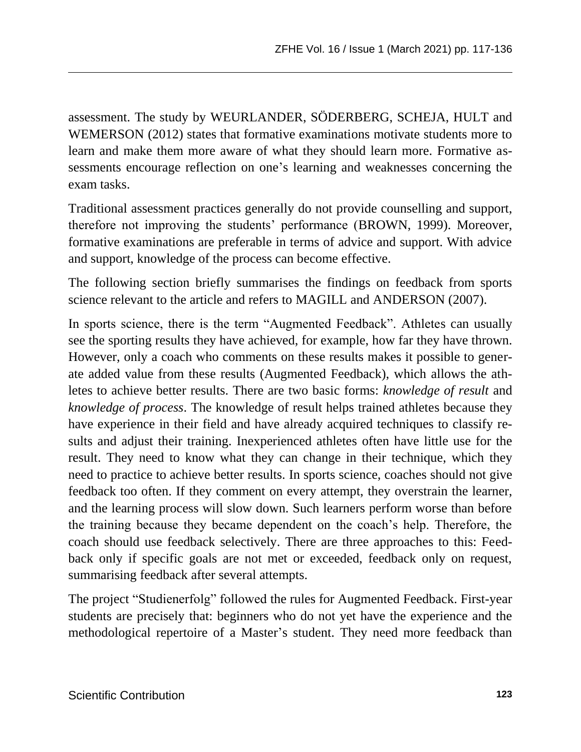assessment. The study by WEURLANDER, SÖDERBERG, SCHEJA, HULT and WEMERSON (2012) states that formative examinations motivate students more to learn and make them more aware of what they should learn more. Formative assessments encourage reflection on one's learning and weaknesses concerning the exam tasks.

Traditional assessment practices generally do not provide counselling and support, therefore not improving the students' performance (BROWN, 1999). Moreover, formative examinations are preferable in terms of advice and support. With advice and support, knowledge of the process can become effective.

The following section briefly summarises the findings on feedback from sports science relevant to the article and refers to MAGILL and ANDERSON (2007).

In sports science, there is the term "Augmented Feedback". Athletes can usually see the sporting results they have achieved, for example, how far they have thrown. However, only a coach who comments on these results makes it possible to generate added value from these results (Augmented Feedback), which allows the athletes to achieve better results. There are two basic forms: *knowledge of result* and *knowledge of process*. The knowledge of result helps trained athletes because they have experience in their field and have already acquired techniques to classify results and adjust their training. Inexperienced athletes often have little use for the result. They need to know what they can change in their technique, which they need to practice to achieve better results. In sports science, coaches should not give feedback too often. If they comment on every attempt, they overstrain the learner, and the learning process will slow down. Such learners perform worse than before the training because they became dependent on the coach's help. Therefore, the coach should use feedback selectively. There are three approaches to this: Feedback only if specific goals are not met or exceeded, feedback only on request, summarising feedback after several attempts.

The project "Studienerfolg" followed the rules for Augmented Feedback. First-year students are precisely that: beginners who do not yet have the experience and the methodological repertoire of a Master's student. They need more feedback than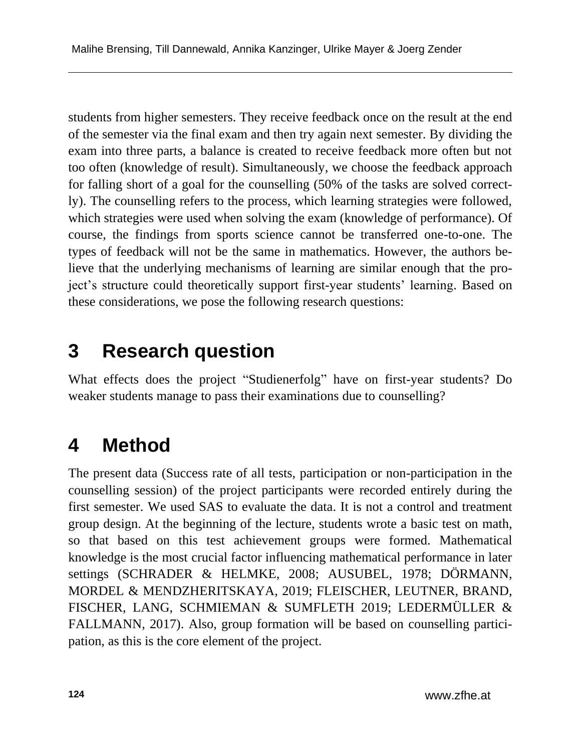students from higher semesters. They receive feedback once on the result at the end of the semester via the final exam and then try again next semester. By dividing the exam into three parts, a balance is created to receive feedback more often but not too often (knowledge of result). Simultaneously, we choose the feedback approach for falling short of a goal for the counselling (50% of the tasks are solved correctly). The counselling refers to the process, which learning strategies were followed, which strategies were used when solving the exam (knowledge of performance). Of course, the findings from sports science cannot be transferred one-to-one. The types of feedback will not be the same in mathematics. However, the authors believe that the underlying mechanisms of learning are similar enough that the project's structure could theoretically support first-year students' learning. Based on these considerations, we pose the following research questions:

## **3 Research question**

What effects does the project "Studienerfolg" have on first-year students? Do weaker students manage to pass their examinations due to counselling?

## **4 Method**

The present data (Success rate of all tests, participation or non-participation in the counselling session) of the project participants were recorded entirely during the first semester. We used SAS to evaluate the data. It is not a control and treatment group design. At the beginning of the lecture, students wrote a basic test on math, so that based on this test achievement groups were formed. Mathematical knowledge is the most crucial factor influencing mathematical performance in later settings (SCHRADER & HELMKE, 2008; AUSUBEL, 1978; DÖRMANN, MORDEL & MENDZHERITSKAYA, 2019; FLEISCHER, LEUTNER, BRAND, FISCHER, LANG, SCHMIEMAN & SUMFLETH 2019; LEDERMÜLLER & FALLMANN, 2017). Also, group formation will be based on counselling participation, as this is the core element of the project.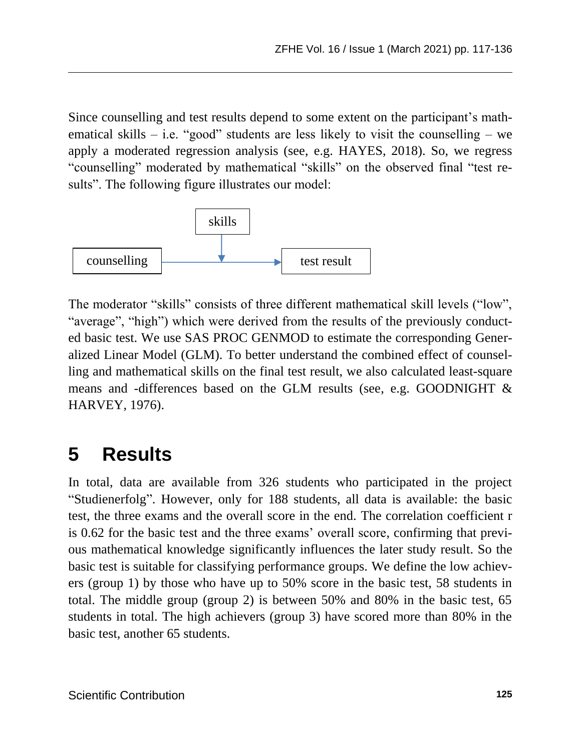Since counselling and test results depend to some extent on the participant's mathematical skills – i.e. "good" students are less likely to visit the counselling – we apply a moderated regression analysis (see, e.g. HAYES, 2018). So, we regress "counselling" moderated by mathematical "skills" on the observed final "test results". The following figure illustrates our model:



The moderator "skills" consists of three different mathematical skill levels ("low", "average", "high") which were derived from the results of the previously conducted basic test. We use SAS PROC GENMOD to estimate the corresponding Generalized Linear Model (GLM). To better understand the combined effect of counselling and mathematical skills on the final test result, we also calculated least-square means and -differences based on the GLM results (see, e.g. GOODNIGHT & HARVEY, 1976).

## **5 Results**

In total, data are available from 326 students who participated in the project "Studienerfolg". However, only for 188 students, all data is available: the basic test, the three exams and the overall score in the end. The correlation coefficient r is 0.62 for the basic test and the three exams' overall score, confirming that previous mathematical knowledge significantly influences the later study result. So the basic test is suitable for classifying performance groups. We define the low achievers (group 1) by those who have up to 50% score in the basic test, 58 students in total. The middle group (group 2) is between 50% and 80% in the basic test, 65 students in total. The high achievers (group 3) have scored more than 80% in the basic test, another 65 students.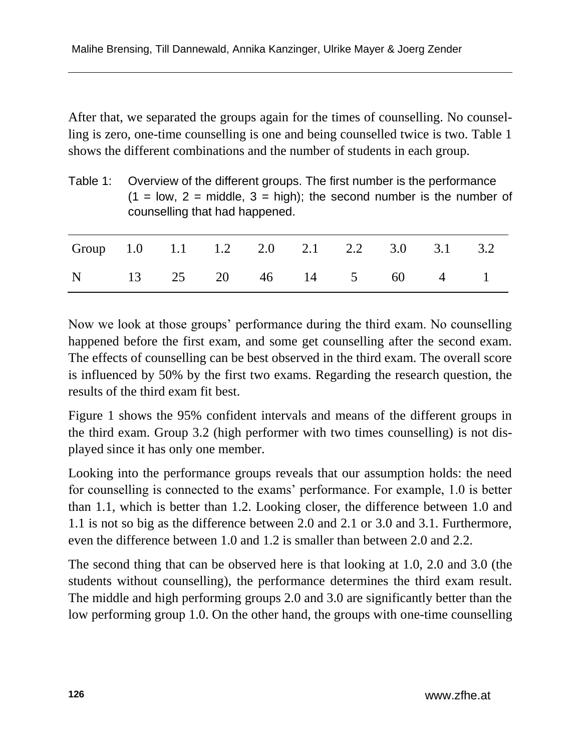After that, we separated the groups again for the times of counselling. No counselling is zero, one-time counselling is one and being counselled twice is two. Table 1 shows the different combinations and the number of students in each group.

|                                       | Table 1: Overview of the different groups. The first number is the performance<br>$(1 = low, 2 = middle, 3 = high);$ the second number is the number of<br>counselling that had happened. |  |  |  |  |                     |  |     |     |
|---------------------------------------|-------------------------------------------------------------------------------------------------------------------------------------------------------------------------------------------|--|--|--|--|---------------------|--|-----|-----|
| Group 1.0 1.1 1.2 2.0 2.1 2.2 3.0 3.1 |                                                                                                                                                                                           |  |  |  |  |                     |  |     | 3.2 |
| N                                     |                                                                                                                                                                                           |  |  |  |  | 13 25 20 46 14 5 60 |  | 4 1 |     |

Now we look at those groups' performance during the third exam. No counselling happened before the first exam, and some get counselling after the second exam. The effects of counselling can be best observed in the third exam. The overall score is influenced by 50% by the first two exams. Regarding the research question, the results of the third exam fit best.

Figure 1 shows the 95% confident intervals and means of the different groups in the third exam. Group 3.2 (high performer with two times counselling) is not displayed since it has only one member.

Looking into the performance groups reveals that our assumption holds: the need for counselling is connected to the exams' performance. For example, 1.0 is better than 1.1, which is better than 1.2. Looking closer, the difference between 1.0 and 1.1 is not so big as the difference between 2.0 and 2.1 or 3.0 and 3.1. Furthermore, even the difference between 1.0 and 1.2 is smaller than between 2.0 and 2.2.

The second thing that can be observed here is that looking at 1.0, 2.0 and 3.0 (the students without counselling), the performance determines the third exam result. The middle and high performing groups 2.0 and 3.0 are significantly better than the low performing group 1.0. On the other hand, the groups with one-time counselling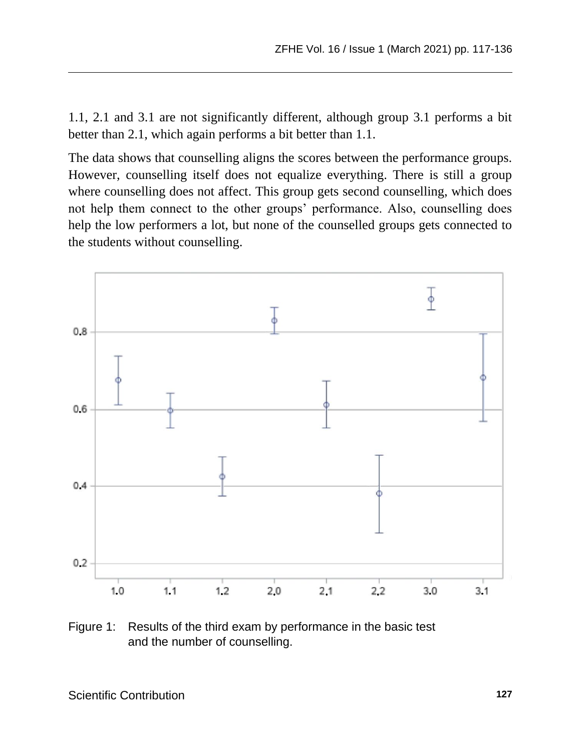1.1, 2.1 and 3.1 are not significantly different, although group 3.1 performs a bit better than 2.1, which again performs a bit better than 1.1.

The data shows that counselling aligns the scores between the performance groups. However, counselling itself does not equalize everything. There is still a group where counselling does not affect. This group gets second counselling, which does not help them connect to the other groups' performance. Also, counselling does help the low performers a lot, but none of the counselled groups gets connected to the students without counselling.



Figure 1: Results of the third exam by performance in the basic test and the number of counselling.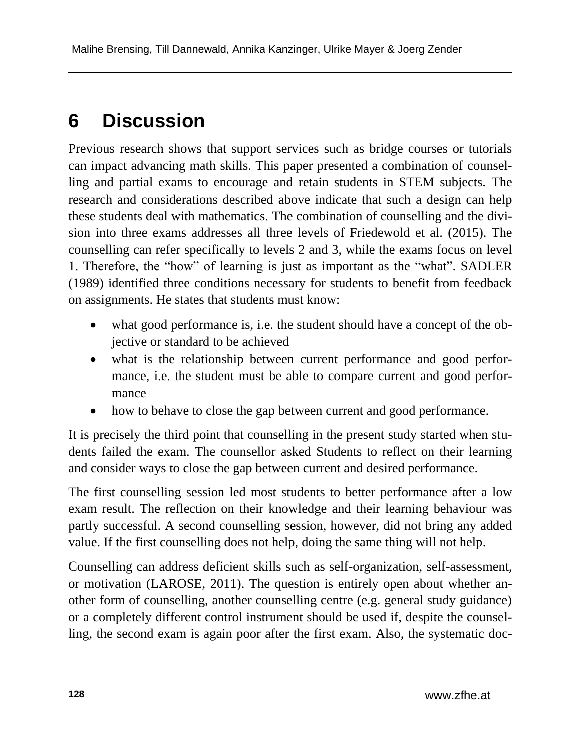#### **6 Discussion**

Previous research shows that support services such as bridge courses or tutorials can impact advancing math skills. This paper presented a combination of counselling and partial exams to encourage and retain students in STEM subjects. The research and considerations described above indicate that such a design can help these students deal with mathematics. The combination of counselling and the division into three exams addresses all three levels of Friedewold et al. (2015). The counselling can refer specifically to levels 2 and 3, while the exams focus on level 1. Therefore, the "how" of learning is just as important as the "what". SADLER (1989) identified three conditions necessary for students to benefit from feedback on assignments. He states that students must know:

- what good performance is, i.e. the student should have a concept of the objective or standard to be achieved
- what is the relationship between current performance and good performance, i.e. the student must be able to compare current and good performance
- how to behave to close the gap between current and good performance.

It is precisely the third point that counselling in the present study started when students failed the exam. The counsellor asked Students to reflect on their learning and consider ways to close the gap between current and desired performance.

The first counselling session led most students to better performance after a low exam result. The reflection on their knowledge and their learning behaviour was partly successful. A second counselling session, however, did not bring any added value. If the first counselling does not help, doing the same thing will not help.

Counselling can address deficient skills such as self-organization, self-assessment, or motivation (LAROSE, 2011). The question is entirely open about whether another form of counselling, another counselling centre (e.g. general study guidance) or a completely different control instrument should be used if, despite the counselling, the second exam is again poor after the first exam. Also, the systematic doc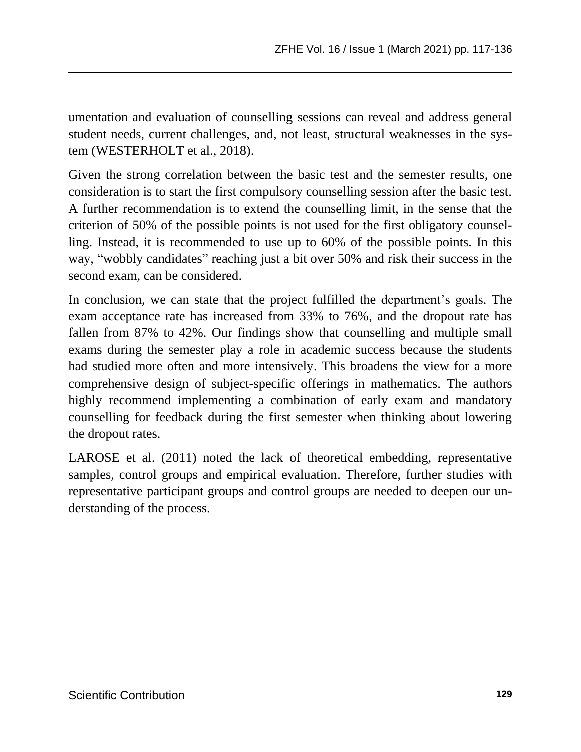umentation and evaluation of counselling sessions can reveal and address general student needs, current challenges, and, not least, structural weaknesses in the system (WESTERHOLT et al., 2018).

Given the strong correlation between the basic test and the semester results, one consideration is to start the first compulsory counselling session after the basic test. A further recommendation is to extend the counselling limit, in the sense that the criterion of 50% of the possible points is not used for the first obligatory counselling. Instead, it is recommended to use up to 60% of the possible points. In this way, "wobbly candidates" reaching just a bit over 50% and risk their success in the second exam, can be considered.

In conclusion, we can state that the project fulfilled the department's goals. The exam acceptance rate has increased from 33% to 76%, and the dropout rate has fallen from 87% to 42%. Our findings show that counselling and multiple small exams during the semester play a role in academic success because the students had studied more often and more intensively. This broadens the view for a more comprehensive design of subject-specific offerings in mathematics. The authors highly recommend implementing a combination of early exam and mandatory counselling for feedback during the first semester when thinking about lowering the dropout rates.

LAROSE et al. (2011) noted the lack of theoretical embedding, representative samples, control groups and empirical evaluation. Therefore, further studies with representative participant groups and control groups are needed to deepen our understanding of the process.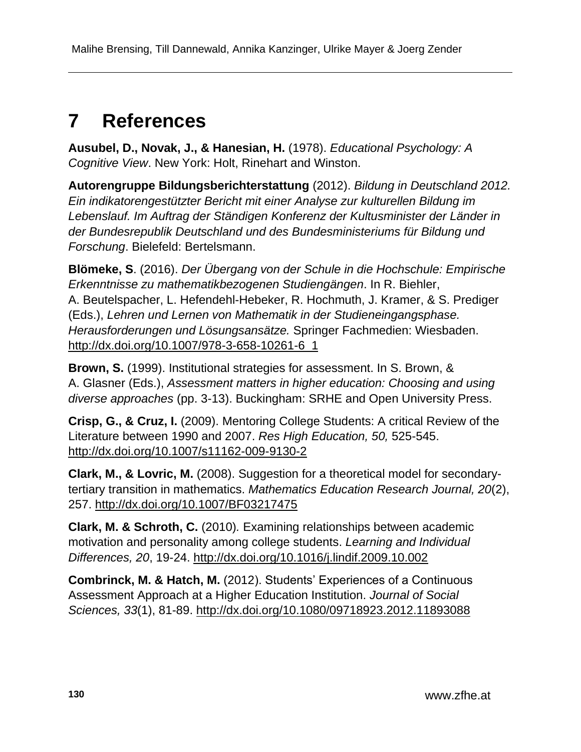# **7 References**

**Ausubel, D., Novak, J., & Hanesian, H.** (1978). *Educational Psychology: A Cognitive View*. New York: Holt, Rinehart and Winston.

**Autorengruppe Bildungsberichterstattung** (2012). *Bildung in Deutschland 2012. Ein indikatorengestützter Bericht mit einer Analyse zur kulturellen Bildung im Lebenslauf. Im Auftrag der Ständigen Konferenz der Kultusminister der Länder in der Bundesrepublik Deutschland und des Bundesministeriums für Bildung und Forschung*. Bielefeld: Bertelsmann.

**Blömeke, S**. (2016). *Der Übergang von der Schule in die Hochschule: Empirische Erkenntnisse zu mathematikbezogenen Studiengängen*. In R. Biehler, A. Beutelspacher, L. Hefendehl-Hebeker, R. Hochmuth, J. Kramer, & S. Prediger (Eds.), *Lehren und Lernen von Mathematik in der Studieneingangsphase. Herausforderungen und Lösungsansätze.* Springer Fachmedien: Wiesbaden. [http://dx.doi.org/10.1007/978-3-658-10261-6\\_1](http://dx.doi.org/10.1007/978-3-658-10261-6_1)

**Brown, S.** (1999). Institutional strategies for assessment. In S. Brown, & A. Glasner (Eds.), *Assessment matters in higher education: Choosing and using diverse approaches* (pp. 3-13). Buckingham: SRHE and Open University Press.

**Crisp, G., & Cruz, I.** (2009). Mentoring College Students: A critical Review of the Literature between 1990 and 2007. *Res High Education, 50,* 525-545. <http://dx.doi.org/10.1007/s11162-009-9130-2>

**Clark, M., & Lovric, M.** (2008). Suggestion for a theoretical model for secondarytertiary transition in mathematics. *Mathematics Education Research Journal, 20*(2), 257.<http://dx.doi.org/10.1007/BF03217475>

**Clark, M. & Schroth, C.** (2010)*.* Examining relationships between academic motivation and personality among college students. *Learning and Individual Differences, 20*, 19-24.<http://dx.doi.org/10.1016/j.lindif.2009.10.002>

**Combrinck, M. & Hatch, M.** (2012). Students' Experiences of a Continuous Assessment Approach at a Higher Education Institution. *Journal of Social Sciences, 33*(1), 81-89.<http://dx.doi.org/10.1080/09718923.2012.11893088>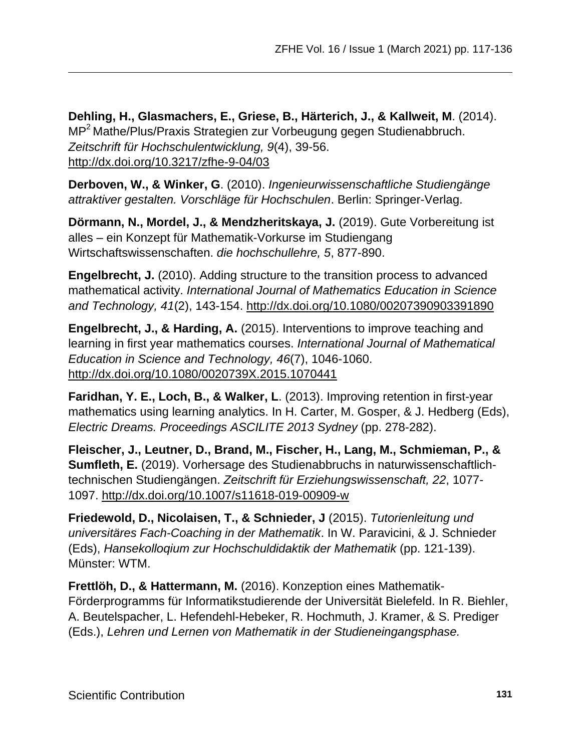**Dehling, H., Glasmachers, E., Griese, B., Härterich, J., & Kallweit, M**. (2014). MP<sup>2</sup>Mathe/Plus/Praxis Strategien zur Vorbeugung gegen Studienabbruch. *Zeitschrift für Hochschulentwicklung, 9*(4), 39-56. <http://dx.doi.org/10.3217/zfhe-9-04/03>

**Derboven, W., & Winker, G**. (2010). *Ingenieurwissenschaftliche Studiengänge attraktiver gestalten. Vorschläge für Hochschulen*. Berlin: Springer-Verlag.

**Dörmann, N., Mordel, J., & Mendzheritskaya, J.** (2019). Gute Vorbereitung ist alles – ein Konzept für Mathematik-Vorkurse im Studiengang Wirtschaftswissenschaften. *die hochschullehre, 5*, 877-890.

**Engelbrecht, J.** (2010). Adding structure to the transition process to advanced mathematical activity. *International Journal of Mathematics Education in Science and Technology, 41*(2), 143-154.<http://dx.doi.org/10.1080/00207390903391890>

**Engelbrecht, J., & Harding, A.** (2015). Interventions to improve teaching and learning in first year mathematics courses. *International Journal of Mathematical Education in Science and Technology, 46*(7), 1046-1060. <http://dx.doi.org/10.1080/0020739X.2015.1070441>

**Faridhan, Y. E., Loch, B., & Walker, L**. (2013). Improving retention in first-year mathematics using learning analytics. In H. Carter, M. Gosper, & J. Hedberg (Eds), *Electric Dreams. Proceedings ASCILITE 2013 Sydney* (pp. 278-282).

**Fleischer, J., Leutner, D., Brand, M., Fischer, H., Lang, M., Schmieman, P., & Sumfleth, E.** (2019). Vorhersage des Studienabbruchs in naturwissenschaftlichtechnischen Studiengängen. *Zeitschrift für Erziehungswissenschaft, 22*, 1077- 1097.<http://dx.doi.org/10.1007/s11618-019-00909-w>

**Friedewold, D., Nicolaisen, T., & Schnieder, J** (2015). *Tutorienleitung und universitäres Fach-Coaching in der Mathematik*. In W. Paravicini, & J. Schnieder (Eds), *Hansekolloqium zur Hochschuldidaktik der Mathematik* (pp. 121-139). Münster: WTM.

**Frettlöh, D., & Hattermann, M.** (2016). Konzeption eines Mathematik-Förderprogramms für Informatikstudierende der Universität Bielefeld. In R. Biehler, A. Beutelspacher, L. Hefendehl-Hebeker, R. Hochmuth, J. Kramer, & S. Prediger (Eds.), *Lehren und Lernen von Mathematik in der Studieneingangsphase.*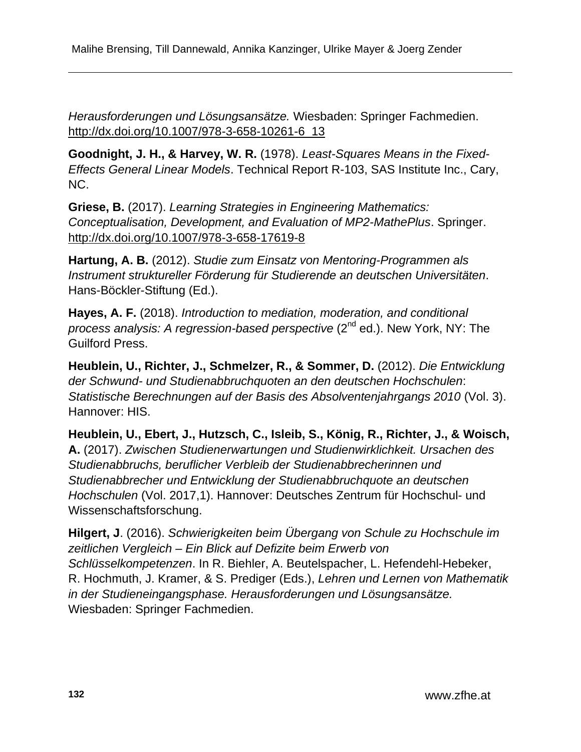*Herausforderungen und Lösungsansätze.* Wiesbaden: Springer Fachmedien. [http://dx.doi.org/10.1007/978-3-658-10261-6\\_13](http://dx.doi.org/10.1007/978-3-658-10261-6_13)

**Goodnight, J. H., & Harvey, W. R.** (1978). *Least-Squares Means in the Fixed-Effects General Linear Models*. Technical Report R-103, SAS Institute Inc., Cary, NC.

**Griese, B.** (2017). *Learning Strategies in Engineering Mathematics: Conceptualisation, Development, and Evaluation of MP2-MathePlus*. Springer. <http://dx.doi.org/10.1007/978-3-658-17619-8>

**Hartung, A. B.** (2012). *Studie zum Einsatz von Mentoring-Programmen als Instrument struktureller Förderung für Studierende an deutschen Universitäten*. Hans-Böckler-Stiftung (Ed.).

**Hayes, A. F.** (2018). *Introduction to mediation, moderation, and conditional process analysis: A regression-based perspective* (2<sup>nd</sup> ed.). New York, NY: The Guilford Press.

**Heublein, U., Richter, J., Schmelzer, R., & Sommer, D.** (2012). *Die Entwicklung der Schwund- und Studienabbruchquoten an den deutschen Hochschulen*: *Statistische Berechnungen auf der Basis des Absolventenjahrgangs 2010* (Vol. 3). Hannover: HIS.

**Heublein, U., Ebert, J., Hutzsch, C., Isleib, S., König, R., Richter, J., & Woisch, A.** (2017). *Zwischen Studienerwartungen und Studienwirklichkeit. Ursachen des Studienabbruchs, beruflicher Verbleib der Studienabbrecherinnen und Studienabbrecher und Entwicklung der Studienabbruchquote an deutschen Hochschulen* (Vol. 2017,1). Hannover: Deutsches Zentrum für Hochschul- und Wissenschaftsforschung.

**Hilgert, J**. (2016). *Schwierigkeiten beim Übergang von Schule zu Hochschule im zeitlichen Vergleich – Ein Blick auf Defizite beim Erwerb von Schlüsselkompetenzen*. In R. Biehler, A. Beutelspacher, L. Hefendehl-Hebeker, R. Hochmuth, J. Kramer, & S. Prediger (Eds.), *Lehren und Lernen von Mathematik in der Studieneingangsphase. Herausforderungen und Lösungsansätze.* Wiesbaden: Springer Fachmedien.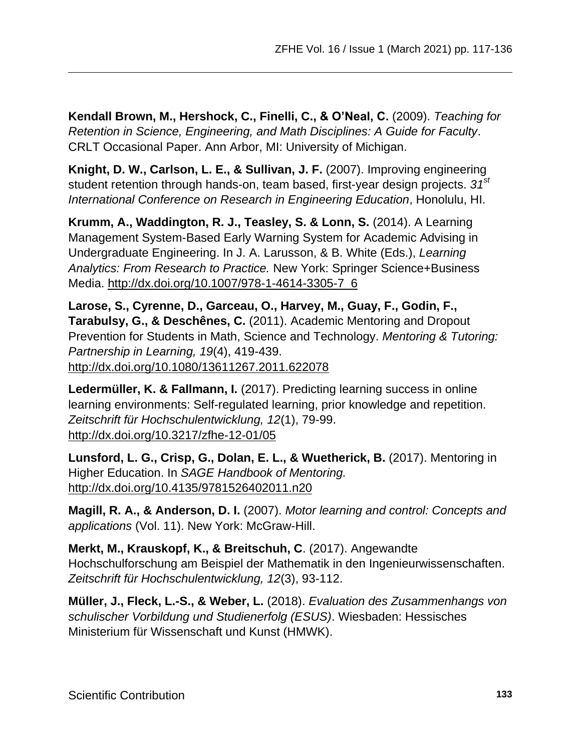**Kendall Brown, M., Hershock, C., Finelli, C., & O'Neal, C.** (2009). *Teaching for Retention in Science, Engineering, and Math Disciplines: A Guide for Faculty*. CRLT Occasional Paper. Ann Arbor, MI: University of Michigan.

**Knight, D. W., Carlson, L. E., & Sullivan, J. F.** (2007). Improving engineering student retention through hands-on, team based, first-year design projects. *31st International Conference on Research in Engineering Education*, Honolulu, HI.

**Krumm, A., Waddington, R. J., Teasley, S. & Lonn, S.** (2014). A Learning Management System-Based Early Warning System for Academic Advising in Undergraduate Engineering. In J. A. Larusson, & B. White (Eds.), *Learning Analytics: From Research to Practice.* New York: Springer Science+Business Media. [http://dx.doi.org/10.1007/978-1-4614-3305-7\\_6](http://dx.doi.org/10.1007/978-1-4614-3305-7_6)

**Larose, S., Cyrenne, D., Garceau, O., Harvey, M., Guay, F., Godin, F., Tarabulsy, G., & Deschênes, C.** (2011). Academic Mentoring and Dropout Prevention for Students in Math, Science and Technology. *Mentoring & Tutoring: Partnership in Learning, 19*(4), 419-439. <http://dx.doi.org/10.1080/13611267.2011.622078>

**Ledermüller, K. & Fallmann, I.** (2017). Predicting learning success in online learning environments: Self-regulated learning, prior knowledge and repetition. *Zeitschrift für Hochschulentwicklung, 12*(1), 79-99. <http://dx.doi.org/10.3217/zfhe-12-01/05>

**Lunsford, L. G., Crisp, G., Dolan, E. L., & Wuetherick, B.** (2017). Mentoring in Higher Education. In *SAGE Handbook of Mentoring.* <http://dx.doi.org/10.4135/9781526402011.n20>

**Magill, R. A., & Anderson, D. I.** (2007). *Motor learning and control: Concepts and applications* (Vol. 11). New York: McGraw-Hill.

**Merkt, M., Krauskopf, K., & Breitschuh, C**. (2017). Angewandte Hochschulforschung am Beispiel der Mathematik in den Ingenieurwissenschaften. *Zeitschrift für Hochschulentwicklung, 12*(3), 93-112.

**Müller, J., Fleck, L.-S., & Weber, L.** (2018). *Evaluation des Zusammenhangs von schulischer Vorbildung und Studienerfolg (ESUS)*. Wiesbaden: Hessisches Ministerium für Wissenschaft und Kunst (HMWK).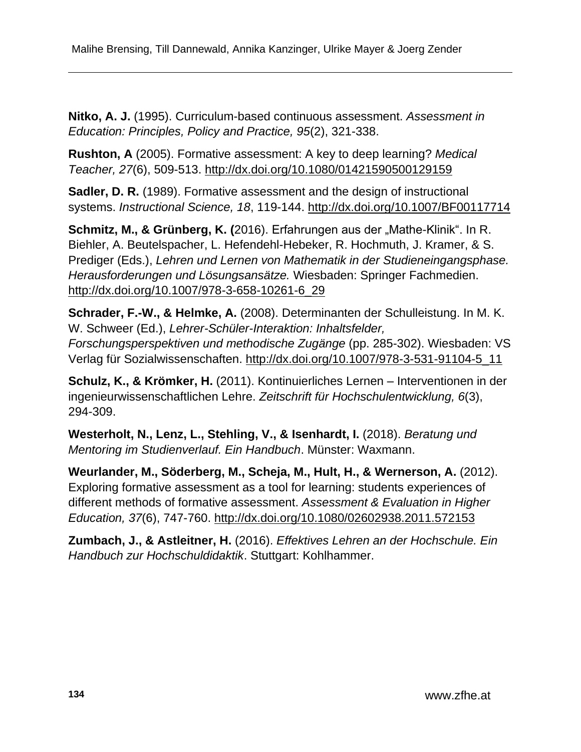**Nitko, A. J.** (1995). Curriculum-based continuous assessment. *Assessment in Education: Principles, Policy and Practice, 95*(2), 321-338.

**Rushton, A** (2005). Formative assessment: A key to deep learning? *Medical Teacher, 27*(6), 509-513.<http://dx.doi.org/10.1080/01421590500129159>

**Sadler, D. R.** (1989). Formative assessment and the design of instructional systems. *Instructional Science, 18*, 119-144.<http://dx.doi.org/10.1007/BF00117714>

**Schmitz, M., & Grünberg, K. (2016). Erfahrungen aus der "Mathe-Klinik". In R.** Biehler, A. Beutelspacher, L. Hefendehl-Hebeker, R. Hochmuth, J. Kramer, & S. Prediger (Eds.), *Lehren und Lernen von Mathematik in der Studieneingangsphase. Herausforderungen und Lösungsansätze.* Wiesbaden: Springer Fachmedien. [http://dx.doi.org/10.1007/978-3-658-10261-6\\_29](http://dx.doi.org/10.1007/978-3-658-10261-6_29)

**Schrader, F.-W., & Helmke, A.** (2008). Determinanten der Schulleistung. In M. K. W. Schweer (Ed.), *Lehrer-Schüler-Interaktion: Inhaltsfelder, Forschungsperspektiven und methodische Zugänge* (pp. 285-302). Wiesbaden: VS Verlag für Sozialwissenschaften. [http://dx.doi.org/10.1007/978-3-531-91104-5\\_11](http://dx.doi.org/10.1007/978-3-531-91104-5_11)

**Schulz, K., & Krömker, H.** (2011). Kontinuierliches Lernen – Interventionen in der ingenieurwissenschaftlichen Lehre. *Zeitschrift für Hochschulentwicklung, 6*(3), 294-309.

**Westerholt, N., Lenz, L., Stehling, V., & Isenhardt, I.** (2018). *Beratung und Mentoring im Studienverlauf. Ein Handbuch*. Münster: Waxmann.

**Weurlander, M., Söderberg, M., Scheja, M., Hult, H., & Wernerson, A.** (2012). Exploring formative assessment as a tool for learning: students experiences of different methods of formative assessment. *Assessment & Evaluation in Higher Education, 37*(6), 747-760.<http://dx.doi.org/10.1080/02602938.2011.572153>

**Zumbach, J., & Astleitner, H.** (2016). *Effektives Lehren an der Hochschule. Ein Handbuch zur Hochschuldidaktik*. Stuttgart: Kohlhammer.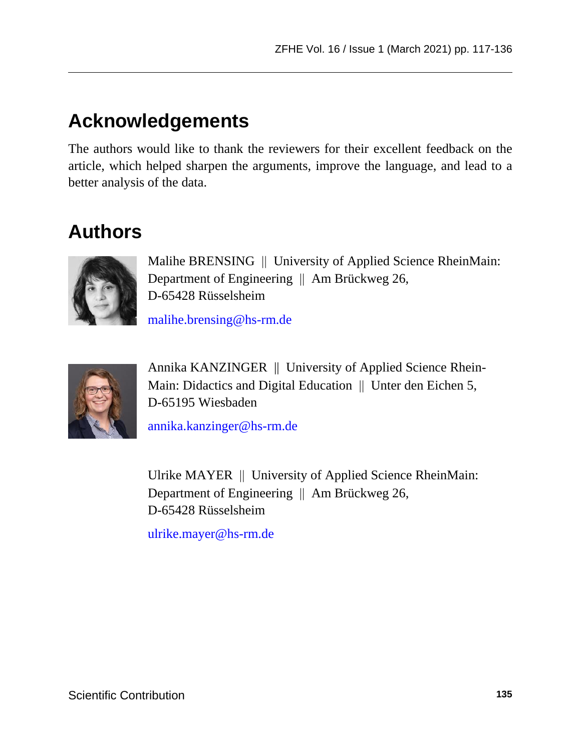## **Acknowledgements**

The authors would like to thank the reviewers for their excellent feedback on the article, which helped sharpen the arguments, improve the language, and lead to a better analysis of the data.

## **Authors**



Malihe BRENSING || University of Applied Science RheinMain: Department of Engineering  $\parallel$  Am Brückweg 26, D-65428 Rüsselsheim

[malihe.brensing@hs-rm.de](mailto:malihe.brensing@hs-rm.de)



Annika KANZINGER || University of Applied Science Rhein-Main: Didactics and Digital Education  $\parallel$  Unter den Eichen 5, D-65195 Wiesbaden

[annika.kanzinger@hs-rm.de](mailto:annika.kanzinger@hs-rm.de)

Ulrike MAYER | University of Applied Science RheinMain: Department of Engineering  $\parallel$  Am Brückweg 26, D-65428 Rüsselsheim

[ulrike.mayer@hs-rm.de](mailto:ulrike.mayer@hs-rm.de)